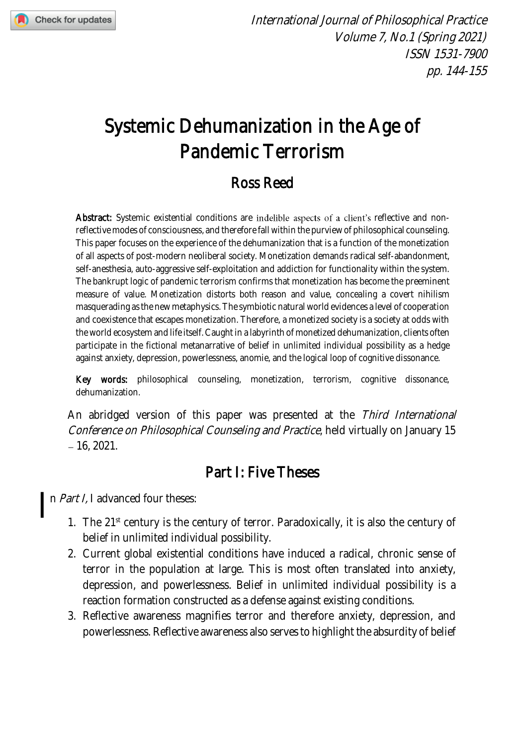

# Systemic Dehumanization in the Age of Pandemic Terrorism

## Ross Reed

Abstract: Systemic existential conditions are indelible aspects of a client's reflective and nonreflective modes of consciousness, and therefore fall within the purview of philosophical counseling. This paper focuses on the experience of the dehumanization that is a function of the monetization of all aspects of post-modern neoliberal society. Monetization demands radical self-abandonment, self-anesthesia, auto-aggressive self-exploitation and addiction for functionality within the system. The bankrupt logic of pandemic terrorism confirms that monetization has become the preeminent measure of value. Monetization distorts both reason and value, concealing a covert nihilism masquerading as the new metaphysics. The symbiotic natural world evidences a level of cooperation and coexistence that escapes monetization. Therefore, a monetized society is a society at odds with the world ecosystem and life itself.Caught in a labyrinth of monetized dehumanization, clients often participate in the fictional metanarrative of belief in unlimited individual possibility as a hedge against anxiety, depression, powerlessness, anomie, and the logical loop of cognitive dissonance.

Key words: philosophical counseling, monetization, terrorism, cognitive dissonance, dehumanization.

An abridged version of this paper was presented at the Third International Conference on Philosophical Counseling and Practice, held virtually on January 15  $-16, 2021.$ 

#### Part I: Five Theses

n Part I, I advanced four theses:  $\overline{\phantom{a}}$ 

- 1. The 21<sup>st</sup> century is the century of terror. Paradoxically, it is also the century of belief in unlimited individual possibility.
- 2. Current global existential conditions have induced a radical, chronic sense of terror in the population at large. This is most often translated into anxiety, depression, and powerlessness. Belief in unlimited individual possibility is a reaction formation constructed as a defense against existing conditions.
- 3. Reflective awareness magnifies terror and therefore anxiety, depression, and powerlessness. Reflective awareness also serves to highlight the absurdity of belief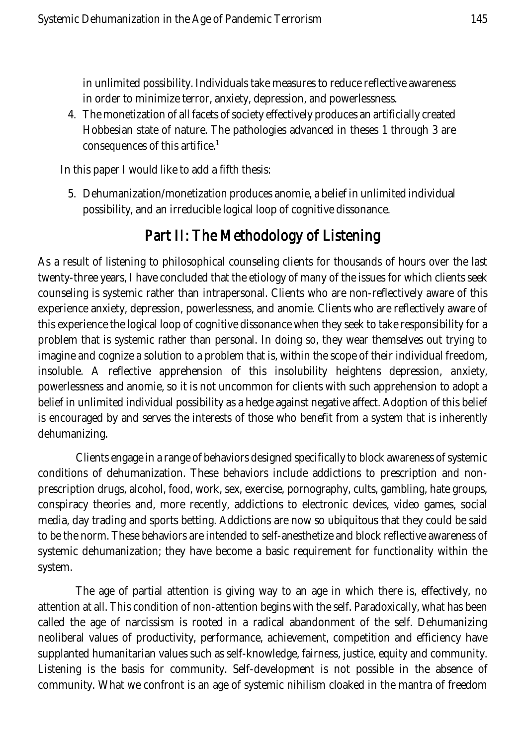in unlimited possibility. Individuals take measures to reduce reflective awareness in order to minimize terror, anxiety, depression, and powerlessness.

4. The monetization of all facets of society effectively produces an artificially created Hobbesian state of nature. The pathologies advanced in theses 1 through 3 are consequences of this artifice.<sup>1</sup>

In this paper I would like to add a fifth thesis:

5. Dehumanization/monetization produces anomie, a belief in unlimited individual possibility, and an irreducible logical loop of cognitive dissonance.

## Part II: The Methodology of Listening

As a result of listening to philosophical counseling clients for thousands of hours over the last twenty-three years, I have concluded that the etiology of many of the issues for which clients seek counseling is systemic rather than intrapersonal. Clients who are non-reflectively aware of this experience anxiety, depression, powerlessness, and anomie. Clients who are reflectively aware of this experience the logical loop of cognitive dissonance when they seek to take responsibility for a problem that is systemic rather than personal. In doing so, they wear themselves out trying to imagine and cognize a solution to a problem that is, within the scope of their individual freedom, insoluble. A reflective apprehension of this insolubility heightens depression, anxiety, powerlessness and anomie, so it is not uncommon for clients with such apprehension to adopt a belief in unlimited individual possibility as a hedge against negative affect. Adoption of this belief is encouraged by and serves the interests of those who benefit from a system that is inherently dehumanizing.

Clients engage in a range of behaviors designed specifically to block awareness of systemic conditions of dehumanization. These behaviors include addictions to prescription and nonprescription drugs, alcohol, food, work, sex, exercise, pornography, cults, gambling, hate groups, conspiracy theories and, more recently, addictions to electronic devices, video games, social media, day trading and sports betting. Addictions are now so ubiquitous that they could be said to be the norm. These behaviors are intended to self-anesthetize and block reflective awareness of systemic dehumanization; they have become a basic requirement for functionality within the system.

The age of partial attention is giving way to an age in which there is, effectively, no attention at all. This condition of non-attention begins with the self. Paradoxically, what has been called the age of narcissism is rooted in a radical abandonment of the self. Dehumanizing neoliberal values of productivity, performance, achievement, competition and efficiency have supplanted humanitarian values such as self-knowledge, fairness, justice, equity and community. Listening is the basis for community. Self-development is not possible in the absence of community. What we confront is an age of systemic nihilism cloaked in the mantra of freedom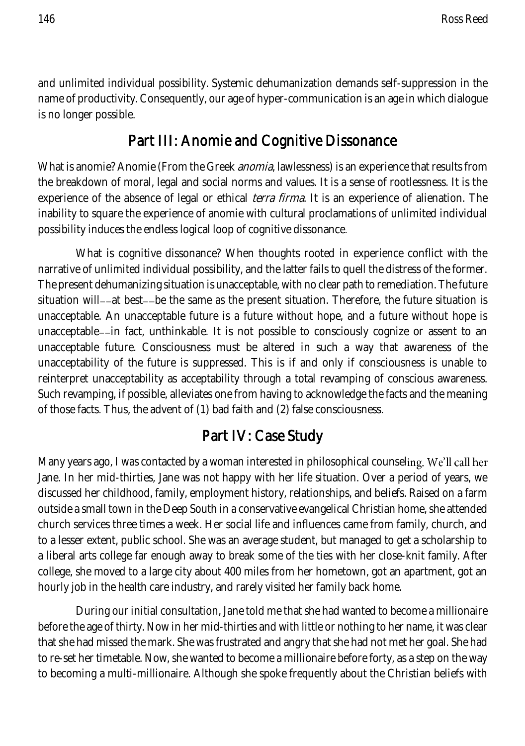and unlimited individual possibility. Systemic dehumanization demands self-suppression in the name of productivity. Consequently, our age of hyper-communication is an age in which dialogue is no longer possible.

## Part III: Anomie and Cognitive Dissonance

What is anomie? Anomie (From the Greek *anomia*, lawlessness) is an experience that results from the breakdown of moral, legal and social norms and values. It is a sense of rootlessness. It is the experience of the absence of legal or ethical *terra firma*. It is an experience of alienation. The inability to square the experience of anomie with cultural proclamations of unlimited individual possibility induces the endless logical loop of cognitive dissonance.

What is cognitive dissonance? When thoughts rooted in experience conflict with the narrative of unlimited individual possibility, and the latter fails to quell the distress of the former. The present dehumanizing situation is unacceptable, with no clear path to remediation. The future situation will--at best--be the same as the present situation. Therefore, the future situation is unacceptable. An unacceptable future is a future without hope, and a future without hope is unacceptable--in fact, unthinkable. It is not possible to consciously cognize or assent to an unacceptable future. Consciousness must be altered in such a way that awareness of the unacceptability of the future is suppressed. This is if and only if consciousness is unable to reinterpret unacceptability as acceptability through a total revamping of conscious awareness. Such revamping, if possible, alleviates one from having to acknowledge the facts and the meaning of those facts. Thus, the advent of (1) bad faith and (2) false consciousness.

#### Part IV: Case Study

Many years ago, I was contacted by a woman interested in philosophical counseling. We'll call her Jane. In her mid-thirties, Jane was not happy with her life situation. Over a period of years, we discussed her childhood, family, employment history, relationships, and beliefs. Raised on a farm outside a small town in the Deep South in a conservative evangelical Christian home, she attended church services three times a week. Her social life and influences came from family, church, and to a lesser extent, public school. She was an average student, but managed to get a scholarship to a liberal arts college far enough away to break some of the ties with her close-knit family. After college, she moved to a large city about 400 miles from her hometown, got an apartment, got an hourly job in the health care industry, and rarely visited her family back home.

During our initial consultation, Jane told me that she had wanted to become a millionaire before the age of thirty. Now in her mid-thirties and with little or nothing to her name, it was clear that she had missed the mark. She was frustrated and angry that she had not met her goal. She had to re-set her timetable. Now, she wanted to become a millionaire before forty, as a step on the way to becoming a multi-millionaire. Although she spoke frequently about the Christian beliefs with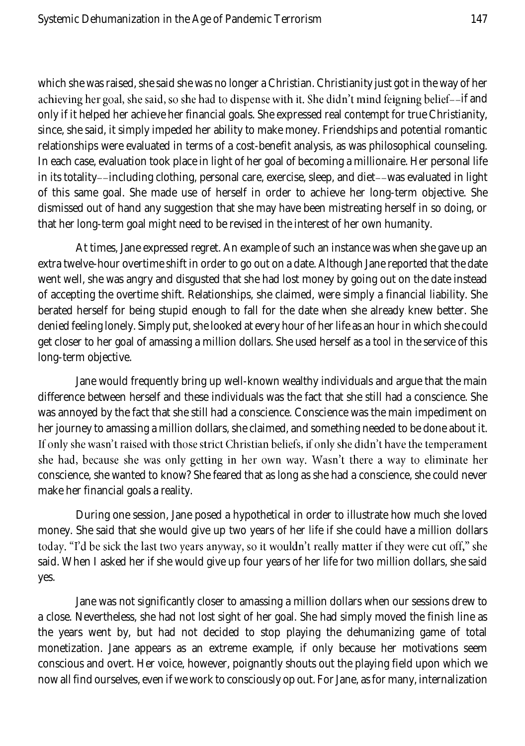which she was raised, she said she was no longer a Christian. Christianity just got in the way of her achieving her goal, she said, so she had to dispense with it. She didn't mind feigning belief--if and only if it helped her achieve her financial goals. She expressed real contempt for true Christianity, since, she said, it simply impeded her ability to make money. Friendships and potential romantic relationships were evaluated in terms of a cost-benefit analysis, as was philosophical counseling. In each case, evaluation took place in light of her goal of becoming a millionaire. Her personal life in its totality--including clothing, personal care, exercise, sleep, and diet -- was evaluated in light of this same goal. She made use of herself in order to achieve her long-term objective. She dismissed out of hand any suggestion that she may have been mistreating herself in so doing, or that her long-term goal might need to be revised in the interest of her own humanity.

At times, Jane expressed regret. An example of such an instance was when she gave up an extra twelve-hour overtime shift in order to go out on a date. Although Jane reported that the date went well, she was angry and disgusted that she had lost money by going out on the date instead of accepting the overtime shift. Relationships, she claimed, were simply a financial liability. She berated herself for being stupid enough to fall for the date when she already knew better. She denied feeling lonely. Simply put, she looked at every hour of her life as an hour in which she could get closer to her goal of amassing a million dollars. She used herself as a tool in the service of this long-term objective.

Jane would frequently bring up well-known wealthy individuals and argue that the main difference between herself and these individuals was the fact that she still had a conscience. She was annoyed by the fact that she still had a conscience. Conscience was the main impediment on her journey to amassing a million dollars, she claimed, and something needed to be done about it. If only she wasn't raised with those strict Christian beliefs, if only she didn't have the temperament she had, because she was only getting in her own way. Wasn't there a way to eliminate her conscience, she wanted to know? She feared that as long as she had a conscience, she could never make her financial goals a reality.

During one session, Jane posed a hypothetical in order to illustrate how much she loved money. She said that she would give up two years of her life if she could have a million dollars today. "I'd be sick the last two years anyway, so it wouldn't really matter if they were cut off," she said. When I asked her if she would give up four years of her life for two million dollars, she said yes.

Jane was not significantly closer to amassing a million dollars when our sessions drew to a close. Nevertheless, she had not lost sight of her goal. She had simply moved the finish line as the years went by, but had not decided to stop playing the dehumanizing game of total monetization. Jane appears as an extreme example, if only because her motivations seem conscious and overt. Her voice, however, poignantly shouts out the playing field upon which we now all find ourselves, even if we work to consciously op out. For Jane, as for many, internalization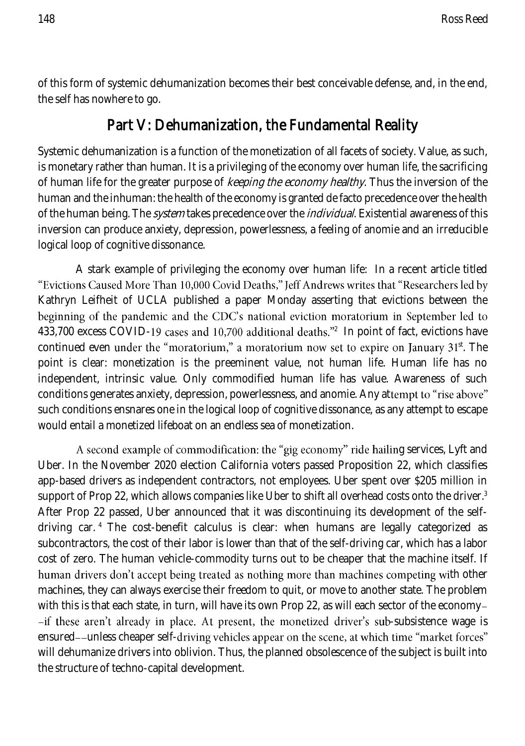of this form of systemic dehumanization becomes their best conceivable defense, and, in the end, the self has nowhere to go.

#### Part V: Dehumanization, the Fundamental Reality

Systemic dehumanization is a function of the monetization of all facets of society. Value, as such, is monetary rather than human. It is a privileging of the economy over human life, the sacrificing of human life for the greater purpose of keeping the economy healthy. Thus the inversion of the human and the inhuman: the health of the economy is granted de facto precedence over the health of the human being. The *system* takes precedence over the *individual*. Existential awareness of this inversion can produce anxiety, depression, powerlessness, a feeling of anomie and an irreducible logical loop of cognitive dissonance.

A stark example of privileging the economy over human life: In a recent article titled "Evictions Caused More Than 10,000 Covid Deaths," Jeff Andrews writes that "Researchers led by Kathryn Leifheit of UCLA published a paper Monday asserting that evictions between the beginning of the pandemic and the CDC's national eviction moratorium in September led to 433,700 excess COVID-19 cases and 10,700 additional deaths."<sup>2</sup> In point of fact, evictions have continued even under the "moratorium," a moratorium now set to expire on January 31st. The point is clear: monetization is the preeminent value, not human life. Human life has no independent, intrinsic value. Only commodified human life has value. Awareness of such conditions generates anxiety, depression, powerlessness, and anomie. Any attempt to "rise above" such conditions ensnares one in the logical loop of cognitive dissonance, as any attempt to escape would entail a monetized lifeboat on an endless sea of monetization.

A second example of commodification: the "gig economy" ride hailing services, Lyft and Uber. In the November 2020 election California voters passed Proposition 22, which classifies app-based drivers as independent contractors, not employees. Uber spent over \$205 million in support of Prop 22, which allows companies like Uber to shift all overhead costs onto the driver.<sup>3</sup> After Prop 22 passed, Uber announced that it was discontinuing its development of the selfdriving car. <sup>4</sup> The cost-benefit calculus is clear: when humans are legally categorized as subcontractors, the cost of their labor is lower than that of the self-driving car, which has a labor cost of zero. The human vehicle-commodity turns out to be cheaper that the machine itself. If human drivers don't accept being treated as nothing more than machines competing with other machines, they can always exercise their freedom to quit, or move to another state. The problem with this is that each state, in turn, will have its own Prop 22, as will each sector of the economy--if these aren't already in place. At present, the monetized driver's sub-subsistence wage is ensured--unless cheaper self-driving vehicles appear on the scene, at which time "market forces" will dehumanize drivers into oblivion. Thus, the planned obsolescence of the subject is built into the structure of techno-capital development.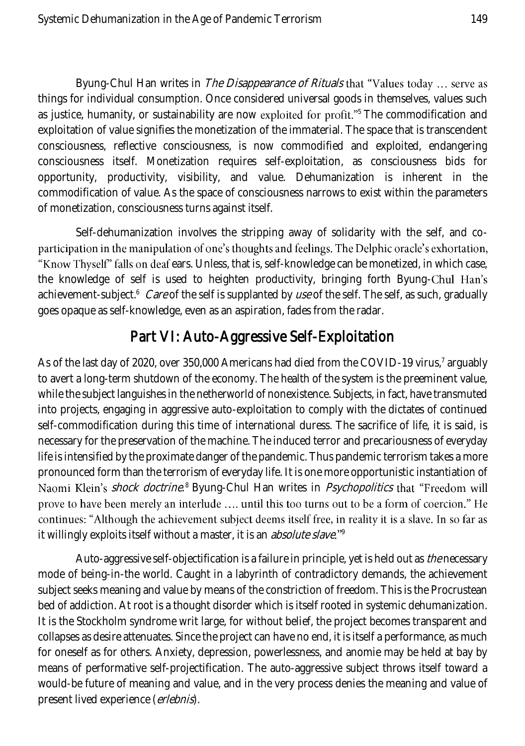Byung-Chul Han writes in The Disappearance of Rituals that "Values today ... serve as things for individual consumption. Once considered universal goods in themselves, values such as justice, humanity, or sustainability are now exploited for profit."<sup>5</sup> The commodification and exploitation of value signifies the monetization of the immaterial. The space that is transcendent consciousness, reflective consciousness, is now commodified and exploited, endangering consciousness itself. Monetization requires self-exploitation, as consciousness bids for opportunity, productivity, visibility, and value. Dehumanization is inherent in the commodification of value. As the space of consciousness narrows to exist within the parameters of monetization, consciousness turns against itself.

Self-dehumanization involves the stripping away of solidarity with the self, and coparticipation in the manipulation of one's thoughts and feelings. The Delphic oracle's exhortation, "Know Thyself" falls on deaf ears. Unless, that is, self-knowledge can be monetized, in which case, the knowledge of self is used to heighten productivity, bringing forth Byung-Chul Han's achievement-subject.<sup>6</sup> *Care* of the self is supplanted by *use* of the self. The self, as such, gradually goes opaque as self-knowledge, even as an aspiration, fades from the radar.

#### Part VI: Auto-Aggressive Self-Exploitation

As of the last day of 2020, over 350,000 Americans had died from the COVID-19 virus, 7 arguably to avert a long-term shutdown of the economy. The health of the system is the preeminent value, while the subject languishes in the netherworld of nonexistence. Subjects, in fact, have transmuted into projects, engaging in aggressive auto-exploitation to comply with the dictates of continued self-commodification during this time of international duress. The sacrifice of life, it is said, is necessary for the preservation of the machine. The induced terror and precariousness of everyday life is intensified by the proximate danger of the pandemic. Thus pandemic terrorism takes a more pronounced form than the terrorism of everyday life. It is one more opportunistic instantiation of *shock doctrine*.8 Byung-Chul Han writes in *Psychopolitics* prove to have been merely an interlude .... until this too turns out to be a form of coercion." He continues: "Although the achievement subject deems itself free, in reality it is a slave. In so far as it willingly exploits itself without a master, it is an *absolute slave*."<sup>9</sup>

Auto-aggressive self-objectification is a failure in principle, yet is held out as *the* necessary mode of being-in-the world. Caught in a labyrinth of contradictory demands, the achievement subject seeks meaning and value by means of the constriction of freedom. This is the Procrustean bed of addiction. At root is a thought disorder which is itself rooted in systemic dehumanization. It is the Stockholm syndrome writ large, for without belief, the project becomes transparent and collapses as desire attenuates. Since the project can have no end, it is itself a performance, as much for oneself as for others. Anxiety, depression, powerlessness, and anomie may be held at bay by means of performative self-projectification. The auto-aggressive subject throws itself toward a would-be future of meaning and value, and in the very process denies the meaning and value of present lived experience (erlebnis).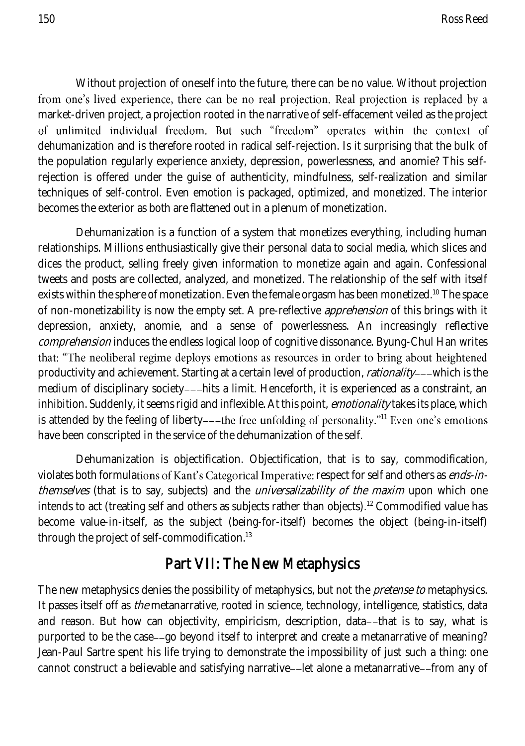Without projection of oneself into the future, there can be no value. Without projection from one's lived experience, there can be no real projection. Real projection is replaced by a market-driven project, a projection rooted in the narrative of self-effacement veiled as the project of unlimited individual freedom. But such "freedom" operates within the context of dehumanization and is therefore rooted in radical self-rejection. Is it surprising that the bulk of the population regularly experience anxiety, depression, powerlessness, and anomie? This selfrejection is offered under the guise of authenticity, mindfulness, self-realization and similar techniques of self-control. Even emotion is packaged, optimized, and monetized. The interior becomes the exterior as both are flattened out in a plenum of monetization.

Dehumanization is a function of a system that monetizes everything, including human relationships. Millions enthusiastically give their personal data to social media, which slices and dices the product, selling freely given information to monetize again and again. Confessional tweets and posts are collected, analyzed, and monetized. The relationship of the self with itself exists within the sphere of monetization. Even the female orgasm has been monetized.<sup>10</sup> The space of non-monetizability is now the empty set. A pre-reflective *apprehension* of this brings with it depression, anxiety, anomie, and a sense of powerlessness. An increasingly reflective comprehension induces the endless logical loop of cognitive dissonance. Byung-Chul Han writes that: "The neoliberal regime deploys emotions as resources in order to bring about heightened productivity and achievement. Starting at a certain level of production, *rationality* -- which is the medium of disciplinary society---hits a limit. Henceforth, it is experienced as a constraint, an inhibition. Suddenly, it seems rigid and inflexible. At this point, *emotionality* takes its place, which is attended by the feeling of liberty- $-$ -the free unfolding of personality."<sup>11</sup> Even one's emotions have been conscripted in the service of the dehumanization of the self.

Dehumanization is objectification. Objectification, that is to say, commodification, violates both formulations of Kant's Categorical Imperative: respect for self and others as *ends-in*themselves (that is to say, subjects) and the *universalizability of the maxim* upon which one intends to act (treating self and others as subjects rather than objects).<sup>12</sup> Commodified value has become value-in-itself, as the subject (being-for-itself) becomes the object (being-in-itself) through the project of self-commodification.<sup>13</sup>

## Part VII: The New Metaphysics

The new metaphysics denies the possibility of metaphysics, but not the *pretense to* metaphysics. It passes itself off as *the* metanarrative, rooted in science, technology, intelligence, statistics, data and reason. But how can objectivity, empiricism, description, data--that is to say, what is purported to be the case--go beyond itself to interpret and create a metanarrative of meaning? Jean-Paul Sartre spent his life trying to demonstrate the impossibility of just such a thing: one cannot construct a believable and satisfying narrative--let alone a metanarrative--from any of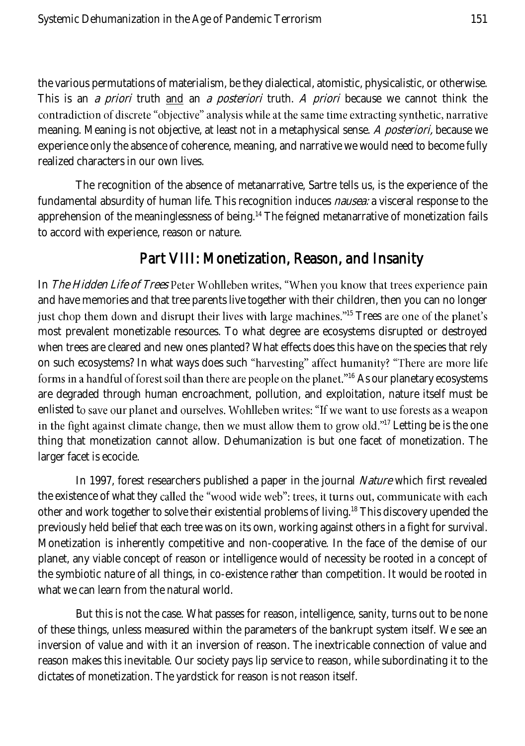the various permutations of materialism, be they dialectical, atomistic, physicalistic, or otherwise. This is an *a priori* truth and an *a posteriori* truth. A *priori* because we cannot think the contradiction of discrete "objective" analysis while at the same time extracting synthetic, narrative meaning. Meaning is not objective, at least not in a metaphysical sense. A posteriori, because we experience only the absence of coherence, meaning, and narrative we would need to become fully realized characters in our own lives.

The recognition of the absence of metanarrative, Sartre tells us, is the experience of the fundamental absurdity of human life. This recognition induces *nausea:* a visceral response to the apprehension of the meaninglessness of being.<sup>14</sup> The feigned metanarrative of monetization fails to accord with experience, reason or nature.

#### Part VIII: Monetization, Reason, and Insanity

In The Hidden Life of Trees Peter Wohlleben writes, "When you know that trees experience pain and have memories and that tree parents live together with their children, then you can no longer just chop them down and disrupt their lives with large machines."<sup>15</sup> Trees are one of the planet's most prevalent monetizable resources. To what degree are ecosystems disrupted or destroyed when trees are cleared and new ones planted? What effects does this have on the species that rely on such ecosystems? In what ways does such "harvesting" affect humanity? "There are more life forms in a handful of forest soil than there are people on the planet."<sup>16</sup> As our planetary ecosystems are degraded through human encroachment, pollution, and exploitation, nature itself must be enlisted to save our planet and ourselves. Wohlleben writes: "If we want to use forests as a weapon in the fight against climate change, then we must allow them to grow old."<sup>17</sup> Letting be is the one thing that monetization cannot allow. Dehumanization is but one facet of monetization. The larger facet is ecocide.

In 1997, forest researchers published a paper in the journal *Nature* which first revealed the existence of what they called the "wood wide web": trees, it turns out, communicate with each other and work together to solve their existential problems of living.<sup>18</sup> This discovery upended the previously held belief that each tree was on its own, working against others in a fight for survival. Monetization is inherently competitive and non-cooperative. In the face of the demise of our planet, any viable concept of reason or intelligence would of necessity be rooted in a concept of the symbiotic nature of all things, in co-existence rather than competition. It would be rooted in what we can learn from the natural world.

But this is not the case. What passes for reason, intelligence, sanity, turns out to be none of these things, unless measured within the parameters of the bankrupt system itself. We see an inversion of value and with it an inversion of reason. The inextricable connection of value and reason makes this inevitable. Our society pays lip service to reason, while subordinating it to the dictates of monetization. The yardstick for reason is not reason itself.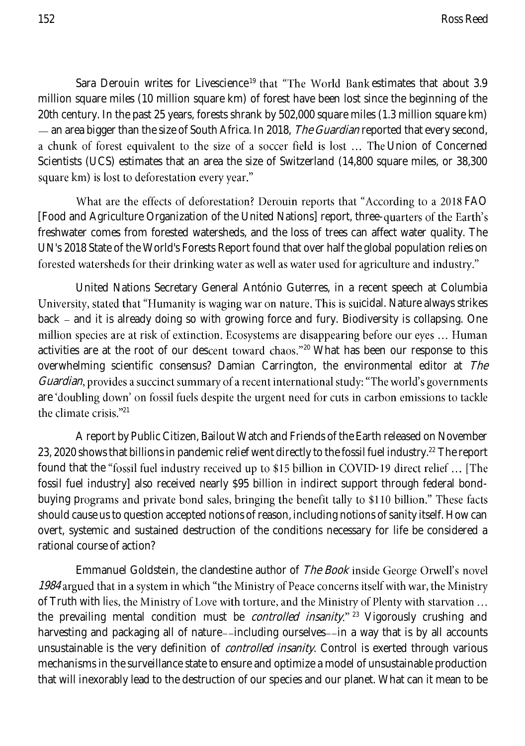Sara Derouin writes for Livescience<sup>19</sup> that "The World Bank estimates that about 3.9 million square miles (10 million square km) of forest have been lost since the beginning of the 20th century. In the past 25 years, forests shrank by 502,000 square miles (1.3 million square km) — an area bigger than the size of South Africa. In 2018, *The Guardian* reported that every second, a chunk of forest equivalent to the size of a soccer field is lost ... The Union of Concerned Scientists (UCS) estimates that an area the size of Switzerland (14,800 square miles, or 38,300 square km) is lost to deforestation every year."

What are the effects of deforestation? Derouin reports that "According to a 2018 FAO [Food and Agriculture Organization of the United Nations] report, threefreshwater comes from forested watersheds, and the loss of trees can affect water quality. The UN's 2018 State of the World's Forests Report found that over half the global population relies on forested watersheds for their drinking water as well as water used for agriculture and industry."

United Nations Secretary General António Guterres, in a recent speech at Columbia University, stated that "Humanity is waging war on nature. This is suicidal. Nature always strikes back - and it is already doing so with growing force and fury. Biodiversity is collapsing. One million species are at risk of extinction. Ecosystems are disappearing before our eyes ... Human activities are at the root of our descent toward chaos."<sup>20</sup> What has been our response to this overwhelming scientific consensus? Damian Carrington, the environmental editor at The *Guardian*, provides a succinct summary of a recent international study: "The world's governments are 'doubling down' on fossil fuels despite the urgent need for cuts in carbon emissions to tackle the climate crisis."<sup>21</sup>

A report by Public Citizen, Bailout Watch and Friends of the Earth released on November 23, 2020 shows that billions in pandemic relief went directly to the fossil fuel industry.<sup>22</sup> The report found that the "fossil fuel industry received up to \$15 billion in COVID-19 direct relief ... [The fossil fuel industry] also received nearly \$95 billion in indirect support through federal bondbuying programs and private bond sales, bringing the benefit tally to \$110 billion." These facts should cause us to question accepted notions of reason, including notions of sanity itself. How can overt, systemic and sustained destruction of the conditions necessary for life be considered a rational course of action?

Emmanuel Goldstein, the clandestine author of The Book inside George Orwell's novel 1984 argued that in a system in which "the Ministry of Peace concerns itself with war, the Ministry of Truth with lies, the Ministry of Love with torture, and the Ministry of Plenty with starvation ... the prevailing mental condition must be *controlled insanity.*"<sup>23</sup> Vigorously crushing and harvesting and packaging all of nature--including ourselves--in a way that is by all accounts unsustainable is the very definition of *controlled insanity*. Control is exerted through various mechanisms in the surveillance state to ensure and optimize a model of unsustainable production that will inexorably lead to the destruction of our species and our planet. What can it mean to be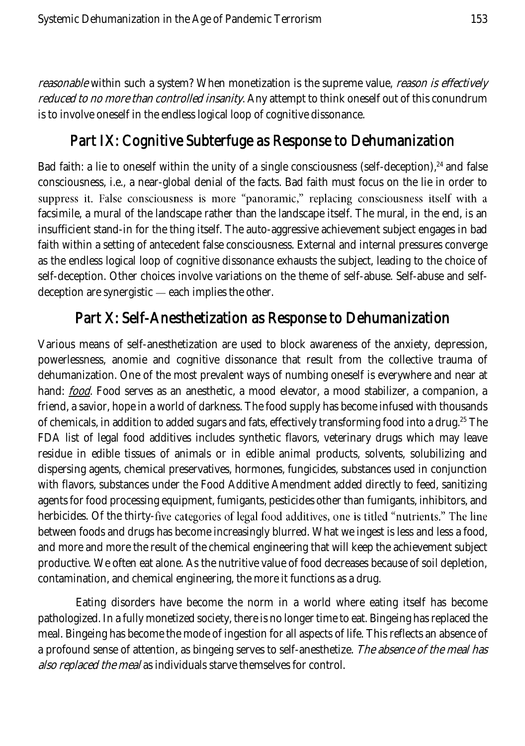reasonable within such a system? When monetization is the supreme value, reason is effectively reduced to no more than controlled insanity. Any attempt to think oneself out of this conundrum is to involve oneself in the endless logical loop of cognitive dissonance.

## Part IX: Cognitive Subterfuge as Response to Dehumanization

Bad faith: a lie to oneself within the unity of a single consciousness (self-deception), $24$  and false consciousness, i.e., a near-global denial of the facts. Bad faith must focus on the lie in order to suppress it. False consciousness is more "panoramic," replacing consciousness itself with a facsimile, a mural of the landscape rather than the landscape itself. The mural, in the end, is an insufficient stand-in for the thing itself. The auto-aggressive achievement subject engages in bad faith within a setting of antecedent false consciousness. External and internal pressures converge as the endless logical loop of cognitive dissonance exhausts the subject, leading to the choice of self-deception. Other choices involve variations on the theme of self-abuse. Self-abuse and selfdeception are synergistic  $-$  each implies the other.

## Part X: Self-Anesthetization as Response to Dehumanization

Various means of self-anesthetization are used to block awareness of the anxiety, depression, powerlessness, anomie and cognitive dissonance that result from the collective trauma of dehumanization. One of the most prevalent ways of numbing oneself is everywhere and near at hand: *food*. Food serves as an anesthetic, a mood elevator, a mood stabilizer, a companion, a friend, a savior, hope in a world of darkness. The food supply has become infused with thousands of chemicals, in addition to added sugars and fats, effectively transforming food into a drug.<sup>25</sup> The FDA list of legal food additives includes synthetic flavors, veterinary drugs which may leave residue in edible tissues of animals or in edible animal products, solvents, solubilizing and dispersing agents, chemical preservatives, hormones, fungicides, substances used in conjunction with flavors, substances under the Food Additive Amendment added directly to feed, sanitizing agents for food processing equipment, fumigants, pesticides other than fumigants, inhibitors, and herbicides. Of the thirty-five categories of legal food additives, one is titled "nutrients." The line between foods and drugs has become increasingly blurred. What we ingest is less and less a food, and more and more the result of the chemical engineering that will keep the achievement subject productive. We often eat alone. As the nutritive value of food decreases because of soil depletion, contamination, and chemical engineering, the more it functions as a drug.

Eating disorders have become the norm in a world where eating itself has become pathologized. In a fully monetized society, there is no longer time to eat. Bingeing has replaced the meal. Bingeing has become the mode of ingestion for all aspects of life. This reflects an absence of a profound sense of attention, as bingeing serves to self-anesthetize. The absence of the meal has also replaced the meal as individuals starve themselves for control.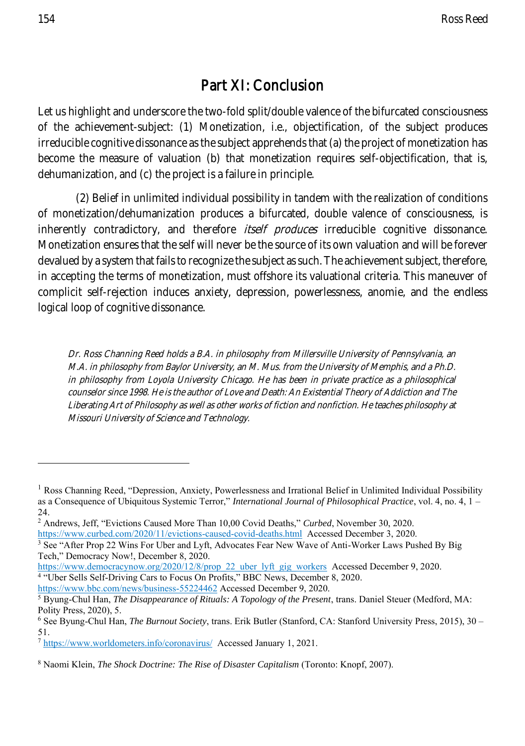## Part XI: Conclusion

Let us highlight and underscore the two-fold split/double valence of the bifurcated consciousness of the achievement-subject: (1) Monetization, i.e., objectification, of the subject produces irreducible cognitive dissonance as the subject apprehends that (a) the project of monetization has become the measure of valuation (b) that monetization requires self-objectification, that is, dehumanization, and (c) the project is a failure in principle.

(2) Belief in unlimited individual possibility in tandem with the realization of conditions of monetization/dehumanization produces a bifurcated, double valence of consciousness, is inherently contradictory, and therefore *itself produces* irreducible cognitive dissonance. Monetization ensures that the self will never be the source of its own valuation and will be forever devalued by a system that fails to recognize the subject as such. The achievement subject, therefore, in accepting the terms of monetization, must offshore its valuational criteria. This maneuver of complicit self-rejection induces anxiety, depression, powerlessness, anomie, and the endless logical loop of cognitive dissonance.

Dr. Ross Channing Reed holds a B.A. in philosophy from Millersville University of Pennsylvania, an M.A. in philosophy from Baylor University, an M. Mus. from the University of Memphis, and a Ph.D. in philosophy from Loyola University Chicago. He has been in private practice as a philosophical counselor since 1998. He is the author of Love and Death: An Existential Theory of Addiction and The Liberating Art of Philosophy as well as other works of fiction and nonfiction. He teaches philosophy at Missouri University of Science and Technology.

[https://www.democracynow.org/2020/12/8/prop\\_22\\_uber\\_lyft\\_gig\\_workers](https://www.democracynow.org/2020/12/8/prop_22_uber_lyft_gig_workers) Accessed December 9, 2020. 4 "Uber Sells Self-Driving Cars to Focus On Profits," BBC News, December 8, 2020.

<https://www.bbc.com/news/business-55224462> Accessed December 9, 2020.

<sup>&</sup>lt;sup>1</sup> Ross Channing Reed, "Depression, Anxiety, Powerlessness and Irrational Belief in Unlimited Individual Possibility as a Consequence of Ubiquitous Systemic Terror," *International Journal of Philosophical Practice*, vol. 4, no. 4, 1 – 24.

<sup>2</sup> Andrews, Jeff, "Evictions Caused More Than 10,00 Covid Deaths," *Curbed*, November 30, 2020. <https://www.curbed.com/2020/11/evictions-caused-covid-deaths.html> Accessed December 3, 2020.

<sup>&</sup>lt;sup>3</sup> See "After Prop 22 Wins For Uber and Lyft, Advocates Fear New Wave of Anti-Worker Laws Pushed By Big Tech," Democracy Now!, December 8, 2020.

<sup>5</sup> Byung-Chul Han, *The Disappearance of Rituals: A Topology of the Present*, trans. Daniel Steuer (Medford, MA: Polity Press, 2020), 5.

<sup>6</sup> See Byung-Chul Han, *The Burnout Society*, trans. Erik Butler (Stanford, CA: Stanford University Press, 2015), 30 – 51.

<sup>7</sup> <https://www.worldometers.info/coronavirus/>Accessed January 1, 2021.

<sup>8</sup> Naomi Klein, *The Shock Doctrine: The Rise of Disaster Capitalism* (Toronto: Knopf, 2007).